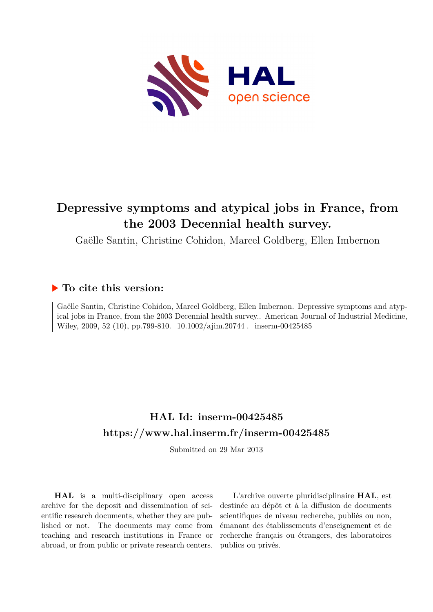

# **Depressive symptoms and atypical jobs in France, from the 2003 Decennial health survey.**

Gaëlle Santin, Christine Cohidon, Marcel Goldberg, Ellen Imbernon

## **To cite this version:**

Gaëlle Santin, Christine Cohidon, Marcel Goldberg, Ellen Imbernon. Depressive symptoms and atypical jobs in France, from the 2003 Decennial health survey.. American Journal of Industrial Medicine, Wiley, 2009, 52 (10), pp.799-810.  $10.1002/a$ jim.20744 . inserm-00425485

## **HAL Id: inserm-00425485 <https://www.hal.inserm.fr/inserm-00425485>**

Submitted on 29 Mar 2013

**HAL** is a multi-disciplinary open access archive for the deposit and dissemination of scientific research documents, whether they are published or not. The documents may come from teaching and research institutions in France or abroad, or from public or private research centers.

L'archive ouverte pluridisciplinaire **HAL**, est destinée au dépôt et à la diffusion de documents scientifiques de niveau recherche, publiés ou non, émanant des établissements d'enseignement et de recherche français ou étrangers, des laboratoires publics ou privés.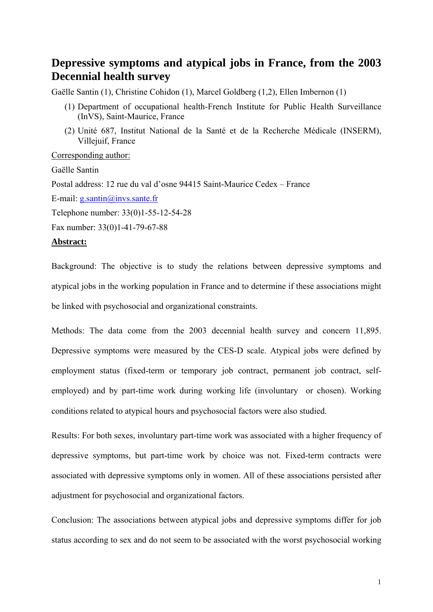## **Depressive symptoms and atypical jobs in France, from the 2003 Decennial health survey**

Gaëlle Santin (1), Christine Cohidon (1), Marcel Goldberg (1,2), Ellen Imbernon (1)

- (1) Department of occupational health-French Institute for Public Health Surveillance (InVS), Saint-Maurice, France
- (2) Unité 687, Institut National de la Santé et de la Recherche Médicale (INSERM), Villejuif, France

Corresponding author:

Gaëlle Santin Postal address: 12 rue du val d'osne 94415 Saint-Maurice Cedex – France E-mail:  $g.santin@/invs.sante.fr$ Telephone number: 33(0)1-55-12-54-28 Fax number: 33(0)1-41-79-67-88

#### **Abstract:**

Background: The objective is to study the relations between depressive symptoms and atypical jobs in the working population in France and to determine if these associations might be linked with psychosocial and organizational constraints.

Methods: The data come from the 2003 decennial health survey and concern 11,895. Depressive symptoms were measured by the CES-D scale. Atypical jobs were defined by employment status (fixed-term or temporary job contract, permanent job contract, selfemployed) and by part-time work during working life (involuntary or chosen). Working conditions related to atypical hours and psychosocial factors were also studied.

Results: For both sexes, involuntary part-time work was associated with a higher frequency of depressive symptoms, but part-time work by choice was not. Fixed-term contracts were associated with depressive symptoms only in women. All of these associations persisted after adjustment for psychosocial and organizational factors.

Conclusion: The associations between atypical jobs and depressive symptoms differ for job status according to sex and do not seem to be associated with the worst psychosocial working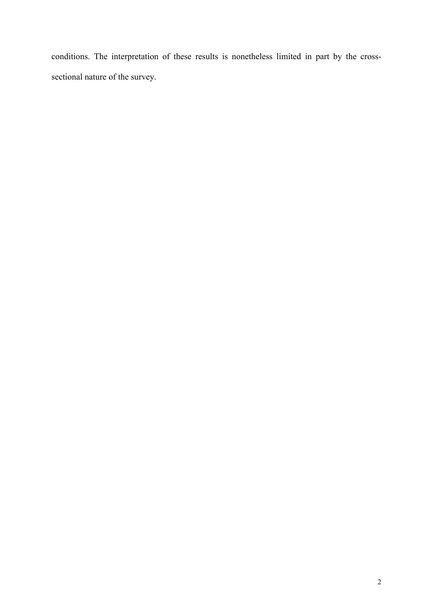conditions. The interpretation of these results is nonetheless limited in part by the crosssectional nature of the survey.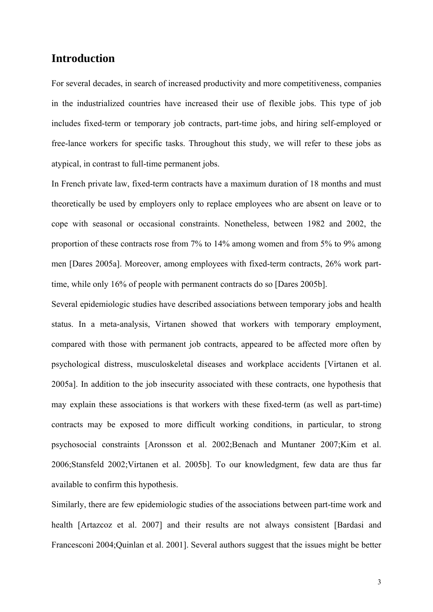## **Introduction**

For several decades, in search of increased productivity and more competitiveness, companies in the industrialized countries have increased their use of flexible jobs. This type of job includes fixed-term or temporary job contracts, part-time jobs, and hiring self-employed or free-lance workers for specific tasks. Throughout this study, we will refer to these jobs as atypical, in contrast to full-time permanent jobs.

In French private law, fixed-term contracts have a maximum duration of 18 months and must theoretically be used by employers only to replace employees who are absent on leave or to cope with seasonal or occasional constraints. Nonetheless, between 1982 and 2002, the proportion of these contracts rose from 7% to 14% among women and from 5% to 9% among men [Dares 2005a]. Moreover, among employees with fixed-term contracts, 26% work parttime, while only 16% of people with permanent contracts do so [Dares 2005b].

Several epidemiologic studies have described associations between temporary jobs and health status. In a meta-analysis, Virtanen showed that workers with temporary employment, compared with those with permanent job contracts, appeared to be affected more often by psychological distress, musculoskeletal diseases and workplace accidents [Virtanen et al. 2005a]. In addition to the job insecurity associated with these contracts, one hypothesis that may explain these associations is that workers with these fixed-term (as well as part-time) contracts may be exposed to more difficult working conditions, in particular, to strong psychosocial constraints [Aronsson et al. 2002;Benach and Muntaner 2007;Kim et al. 2006;Stansfeld 2002;Virtanen et al. 2005b]. To our knowledgment, few data are thus far available to confirm this hypothesis.

Similarly, there are few epidemiologic studies of the associations between part-time work and health [Artazcoz et al. 2007] and their results are not always consistent [Bardasi and Francesconi 2004;Quinlan et al. 2001]. Several authors suggest that the issues might be better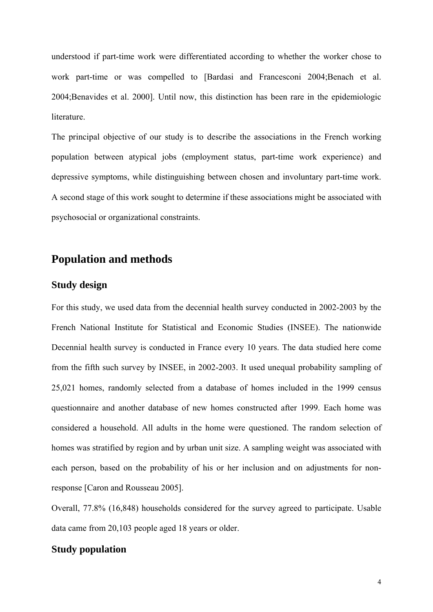understood if part-time work were differentiated according to whether the worker chose to work part-time or was compelled to [Bardasi and Francesconi 2004;Benach et al. 2004;Benavides et al. 2000]. Until now, this distinction has been rare in the epidemiologic literature.

The principal objective of our study is to describe the associations in the French working population between atypical jobs (employment status, part-time work experience) and depressive symptoms, while distinguishing between chosen and involuntary part-time work. A second stage of this work sought to determine if these associations might be associated with psychosocial or organizational constraints.

## **Population and methods**

## **Study design**

For this study, we used data from the decennial health survey conducted in 2002-2003 by the French National Institute for Statistical and Economic Studies (INSEE). The nationwide Decennial health survey is conducted in France every 10 years. The data studied here come from the fifth such survey by INSEE, in 2002-2003. It used unequal probability sampling of 25,021 homes, randomly selected from a database of homes included in the 1999 census questionnaire and another database of new homes constructed after 1999. Each home was considered a household. All adults in the home were questioned. The random selection of homes was stratified by region and by urban unit size. A sampling weight was associated with each person, based on the probability of his or her inclusion and on adjustments for nonresponse [Caron and Rousseau 2005].

Overall, 77.8% (16,848) households considered for the survey agreed to participate. Usable data came from 20,103 people aged 18 years or older.

#### **Study population**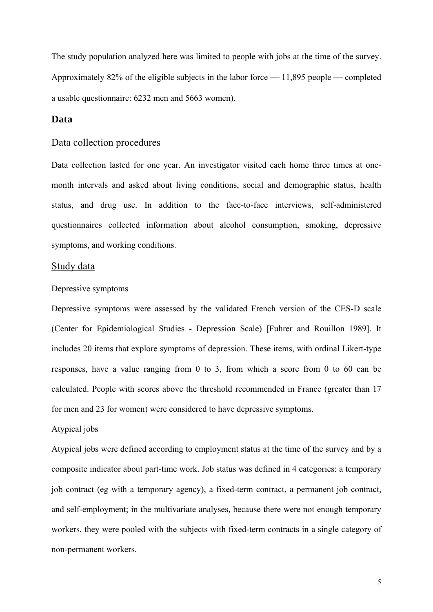The study population analyzed here was limited to people with jobs at the time of the survey. Approximately 82% of the eligible subjects in the labor force  $-11,895$  people  $-$  completed a usable questionnaire: 6232 men and 5663 women).

#### **Data**

#### Data collection procedures

Data collection lasted for one year. An investigator visited each home three times at onemonth intervals and asked about living conditions, social and demographic status, health status, and drug use. In addition to the face-to-face interviews, self-administered questionnaires collected information about alcohol consumption, smoking, depressive symptoms, and working conditions.

#### Study data

#### Depressive symptoms

Depressive symptoms were assessed by the validated French version of the CES-D scale (Center for Epidemiological Studies - Depression Scale) [Fuhrer and Rouillon 1989]. It includes 20 items that explore symptoms of depression. These items, with ordinal Likert-type responses, have a value ranging from 0 to 3, from which a score from 0 to 60 can be calculated. People with scores above the threshold recommended in France (greater than 17 for men and 23 for women) were considered to have depressive symptoms.

#### Atypical jobs

Atypical jobs were defined according to employment status at the time of the survey and by a composite indicator about part-time work. Job status was defined in 4 categories: a temporary job contract (eg with a temporary agency), a fixed-term contract, a permanent job contract, and self-employment; in the multivariate analyses, because there were not enough temporary workers, they were pooled with the subjects with fixed-term contracts in a single category of non-permanent workers.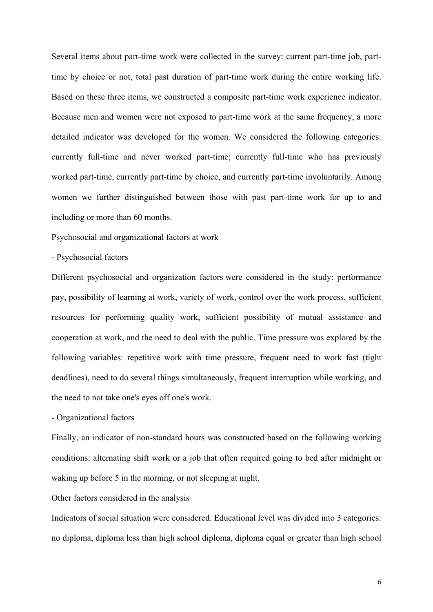Several items about part-time work were collected in the survey: current part-time job, parttime by choice or not, total past duration of part-time work during the entire working life. Based on these three items, we constructed a composite part-time work experience indicator. Because men and women were not exposed to part-time work at the same frequency, a more detailed indicator was developed for the women. We considered the following categories: currently full-time and never worked part-time; currently full-time who has previously worked part-time, currently part-time by choice, and currently part-time involuntarily. Among women we further distinguished between those with past part-time work for up to and including or more than 60 months.

Psychosocial and organizational factors at work

- Psychosocial factors

Different psychosocial and organization factors were considered in the study: performance pay, possibility of learning at work, variety of work, control over the work process, sufficient resources for performing quality work, sufficient possibility of mutual assistance and cooperation at work, and the need to deal with the public. Time pressure was explored by the following variables: repetitive work with time pressure, frequent need to work fast (tight deadlines), need to do several things simultaneously, frequent interruption while working, and the need to not take one's eyes off one's work.

- Organizational factors

Finally, an indicator of non-standard hours was constructed based on the following working conditions: alternating shift work or a job that often required going to bed after midnight or waking up before 5 in the morning, or not sleeping at night.

Other factors considered in the analysis

Indicators of social situation were considered. Educational level was divided into 3 categories: no diploma, diploma less than high school diploma, diploma equal or greater than high school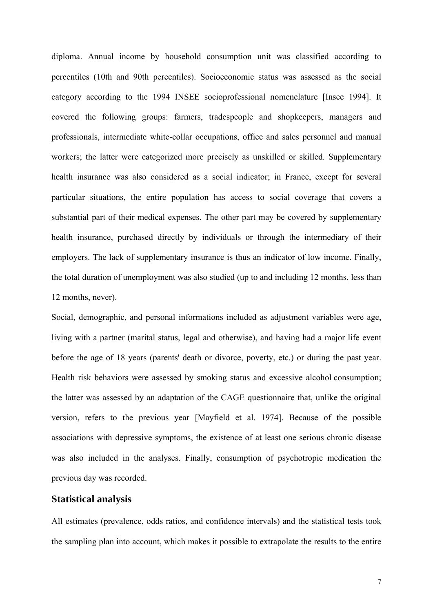diploma. Annual income by household consumption unit was classified according to percentiles (10th and 90th percentiles). Socioeconomic status was assessed as the social category according to the 1994 INSEE socioprofessional nomenclature [Insee 1994]. It covered the following groups: farmers, tradespeople and shopkeepers, managers and professionals, intermediate white-collar occupations, office and sales personnel and manual workers; the latter were categorized more precisely as unskilled or skilled. Supplementary health insurance was also considered as a social indicator; in France, except for several particular situations, the entire population has access to social coverage that covers a substantial part of their medical expenses. The other part may be covered by supplementary health insurance, purchased directly by individuals or through the intermediary of their employers. The lack of supplementary insurance is thus an indicator of low income. Finally, the total duration of unemployment was also studied (up to and including 12 months, less than 12 months, never).

Social, demographic, and personal informations included as adjustment variables were age, living with a partner (marital status, legal and otherwise), and having had a major life event before the age of 18 years (parents' death or divorce, poverty, etc.) or during the past year. Health risk behaviors were assessed by smoking status and excessive alcohol consumption; the latter was assessed by an adaptation of the CAGE questionnaire that, unlike the original version, refers to the previous year [Mayfield et al. 1974]. Because of the possible associations with depressive symptoms, the existence of at least one serious chronic disease was also included in the analyses. Finally, consumption of psychotropic medication the previous day was recorded.

### **Statistical analysis**

All estimates (prevalence, odds ratios, and confidence intervals) and the statistical tests took the sampling plan into account, which makes it possible to extrapolate the results to the entire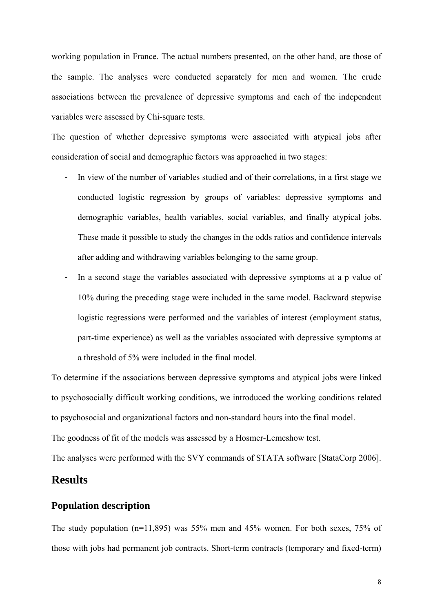working population in France. The actual numbers presented, on the other hand, are those of the sample. The analyses were conducted separately for men and women. The crude associations between the prevalence of depressive symptoms and each of the independent variables were assessed by Chi-square tests.

The question of whether depressive symptoms were associated with atypical jobs after consideration of social and demographic factors was approached in two stages:

- In view of the number of variables studied and of their correlations, in a first stage we conducted logistic regression by groups of variables: depressive symptoms and demographic variables, health variables, social variables, and finally atypical jobs. These made it possible to study the changes in the odds ratios and confidence intervals after adding and withdrawing variables belonging to the same group.
- In a second stage the variables associated with depressive symptoms at a p value of 10% during the preceding stage were included in the same model. Backward stepwise logistic regressions were performed and the variables of interest (employment status, part-time experience) as well as the variables associated with depressive symptoms at a threshold of 5% were included in the final model.

To determine if the associations between depressive symptoms and atypical jobs were linked to psychosocially difficult working conditions, we introduced the working conditions related to psychosocial and organizational factors and non-standard hours into the final model.

The goodness of fit of the models was assessed by a Hosmer-Lemeshow test.

The analyses were performed with the SVY commands of STATA software [StataCorp 2006].

## **Results**

#### **Population description**

The study population (n=11,895) was 55% men and 45% women. For both sexes, 75% of those with jobs had permanent job contracts. Short-term contracts (temporary and fixed-term)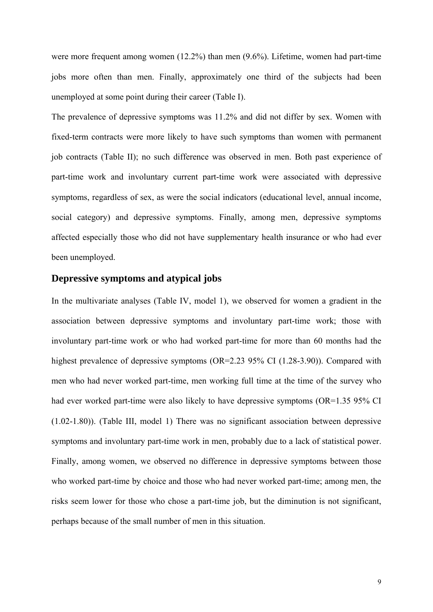were more frequent among women (12.2%) than men (9.6%). Lifetime, women had part-time jobs more often than men. Finally, approximately one third of the subjects had been unemployed at some point during their career (Table I).

The prevalence of depressive symptoms was 11.2% and did not differ by sex. Women with fixed-term contracts were more likely to have such symptoms than women with permanent job contracts (Table II); no such difference was observed in men. Both past experience of part-time work and involuntary current part-time work were associated with depressive symptoms, regardless of sex, as were the social indicators (educational level, annual income, social category) and depressive symptoms. Finally, among men, depressive symptoms affected especially those who did not have supplementary health insurance or who had ever been unemployed.

### **Depressive symptoms and atypical jobs**

In the multivariate analyses (Table IV, model 1), we observed for women a gradient in the association between depressive symptoms and involuntary part-time work; those with involuntary part-time work or who had worked part-time for more than 60 months had the highest prevalence of depressive symptoms (OR=2.23 95% CI (1.28-3.90)). Compared with men who had never worked part-time, men working full time at the time of the survey who had ever worked part-time were also likely to have depressive symptoms (OR=1.35 95% CI (1.02-1.80)). (Table III, model 1) There was no significant association between depressive symptoms and involuntary part-time work in men, probably due to a lack of statistical power. Finally, among women, we observed no difference in depressive symptoms between those who worked part-time by choice and those who had never worked part-time; among men, the risks seem lower for those who chose a part-time job, but the diminution is not significant, perhaps because of the small number of men in this situation.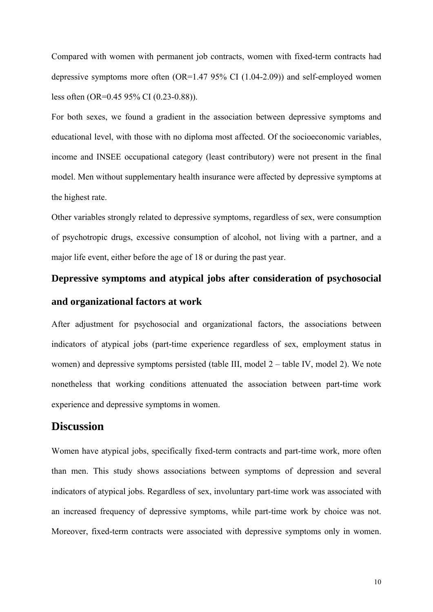Compared with women with permanent job contracts, women with fixed-term contracts had depressive symptoms more often (OR=1.47 95% CI (1.04-2.09)) and self-employed women less often (OR=0.45 95% CI (0.23-0.88)).

For both sexes, we found a gradient in the association between depressive symptoms and educational level, with those with no diploma most affected. Of the socioeconomic variables, income and INSEE occupational category (least contributory) were not present in the final model. Men without supplementary health insurance were affected by depressive symptoms at the highest rate.

Other variables strongly related to depressive symptoms, regardless of sex, were consumption of psychotropic drugs, excessive consumption of alcohol, not living with a partner, and a major life event, either before the age of 18 or during the past year.

# **Depressive symptoms and atypical jobs after consideration of psychosocial and organizational factors at work**

After adjustment for psychosocial and organizational factors, the associations between indicators of atypical jobs (part-time experience regardless of sex, employment status in women) and depressive symptoms persisted (table III, model 2 – table IV, model 2). We note nonetheless that working conditions attenuated the association between part-time work experience and depressive symptoms in women.

## **Discussion**

Women have atypical jobs, specifically fixed-term contracts and part-time work, more often than men. This study shows associations between symptoms of depression and several indicators of atypical jobs. Regardless of sex, involuntary part-time work was associated with an increased frequency of depressive symptoms, while part-time work by choice was not. Moreover, fixed-term contracts were associated with depressive symptoms only in women.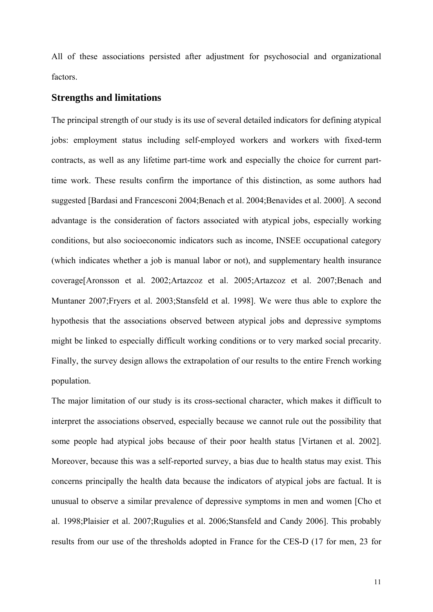All of these associations persisted after adjustment for psychosocial and organizational factors.

#### **Strengths and limitations**

The principal strength of our study is its use of several detailed indicators for defining atypical jobs: employment status including self-employed workers and workers with fixed-term contracts, as well as any lifetime part-time work and especially the choice for current parttime work. These results confirm the importance of this distinction, as some authors had suggested [Bardasi and Francesconi 2004;Benach et al. 2004;Benavides et al. 2000]. A second advantage is the consideration of factors associated with atypical jobs, especially working conditions, but also socioeconomic indicators such as income, INSEE occupational category (which indicates whether a job is manual labor or not), and supplementary health insurance coverage[Aronsson et al. 2002;Artazcoz et al. 2005;Artazcoz et al. 2007;Benach and Muntaner 2007;Fryers et al. 2003;Stansfeld et al. 1998]. We were thus able to explore the hypothesis that the associations observed between atypical jobs and depressive symptoms might be linked to especially difficult working conditions or to very marked social precarity. Finally, the survey design allows the extrapolation of our results to the entire French working population.

The major limitation of our study is its cross-sectional character, which makes it difficult to interpret the associations observed, especially because we cannot rule out the possibility that some people had atypical jobs because of their poor health status [Virtanen et al. 2002]. Moreover, because this was a self-reported survey, a bias due to health status may exist. This concerns principally the health data because the indicators of atypical jobs are factual. It is unusual to observe a similar prevalence of depressive symptoms in men and women [Cho et al. 1998;Plaisier et al. 2007;Rugulies et al. 2006;Stansfeld and Candy 2006]. This probably results from our use of the thresholds adopted in France for the CES-D (17 for men, 23 for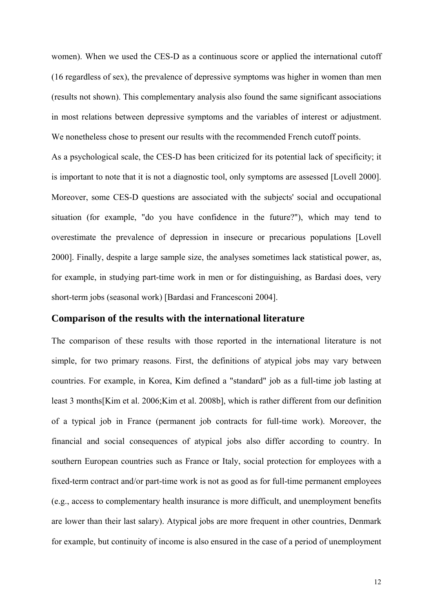women). When we used the CES-D as a continuous score or applied the international cutoff (16 regardless of sex), the prevalence of depressive symptoms was higher in women than men (results not shown). This complementary analysis also found the same significant associations in most relations between depressive symptoms and the variables of interest or adjustment. We nonetheless chose to present our results with the recommended French cutoff points.

As a psychological scale, the CES-D has been criticized for its potential lack of specificity; it is important to note that it is not a diagnostic tool, only symptoms are assessed [Lovell 2000]. Moreover, some CES-D questions are associated with the subjects' social and occupational situation (for example, "do you have confidence in the future?"), which may tend to overestimate the prevalence of depression in insecure or precarious populations [Lovell 2000]. Finally, despite a large sample size, the analyses sometimes lack statistical power, as, for example, in studying part-time work in men or for distinguishing, as Bardasi does, very short-term jobs (seasonal work) [Bardasi and Francesconi 2004].

#### **Comparison of the results with the international literature**

The comparison of these results with those reported in the international literature is not simple, for two primary reasons. First, the definitions of atypical jobs may vary between countries. For example, in Korea, Kim defined a "standard" job as a full-time job lasting at least 3 months[Kim et al. 2006;Kim et al. 2008b], which is rather different from our definition of a typical job in France (permanent job contracts for full-time work). Moreover, the financial and social consequences of atypical jobs also differ according to country. In southern European countries such as France or Italy, social protection for employees with a fixed-term contract and/or part-time work is not as good as for full-time permanent employees (e.g., access to complementary health insurance is more difficult, and unemployment benefits are lower than their last salary). Atypical jobs are more frequent in other countries, Denmark for example, but continuity of income is also ensured in the case of a period of unemployment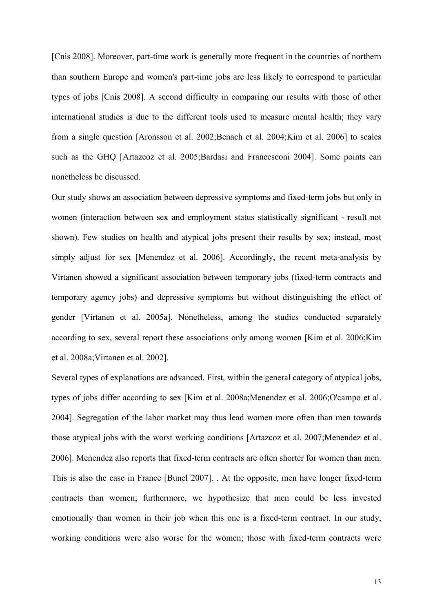[Cnis 2008]. Moreover, part-time work is generally more frequent in the countries of northern than southern Europe and women's part-time jobs are less likely to correspond to particular types of jobs [Cnis 2008]. A second difficulty in comparing our results with those of other international studies is due to the different tools used to measure mental health; they vary from a single question [Aronsson et al. 2002;Benach et al. 2004;Kim et al. 2006] to scales such as the GHQ [Artazcoz et al. 2005;Bardasi and Francesconi 2004]. Some points can nonetheless be discussed.

Our study shows an association between depressive symptoms and fixed-term jobs but only in women (interaction between sex and employment status statistically significant - result not shown). Few studies on health and atypical jobs present their results by sex; instead, most simply adjust for sex [Menendez et al. 2006]. Accordingly, the recent meta-analysis by Virtanen showed a significant association between temporary jobs (fixed-term contracts and temporary agency jobs) and depressive symptoms but without distinguishing the effect of gender [Virtanen et al. 2005a]. Nonetheless, among the studies conducted separately according to sex, several report these associations only among women [Kim et al. 2006;Kim et al. 2008a;Virtanen et al. 2002].

Several types of explanations are advanced. First, within the general category of atypical jobs, types of jobs differ according to sex [Kim et al. 2008a;Menendez et al. 2006;O'campo et al. 2004]. Segregation of the labor market may thus lead women more often than men towards those atypical jobs with the worst working conditions [Artazcoz et al. 2007;Menendez et al. 2006]. Menendez also reports that fixed-term contracts are often shorter for women than men. This is also the case in France [Bunel 2007]. . At the opposite, men have longer fixed-term contracts than women; furthermore, we hypothesize that men could be less invested emotionally than women in their job when this one is a fixed-term contract. In our study, working conditions were also worse for the women; those with fixed-term contracts were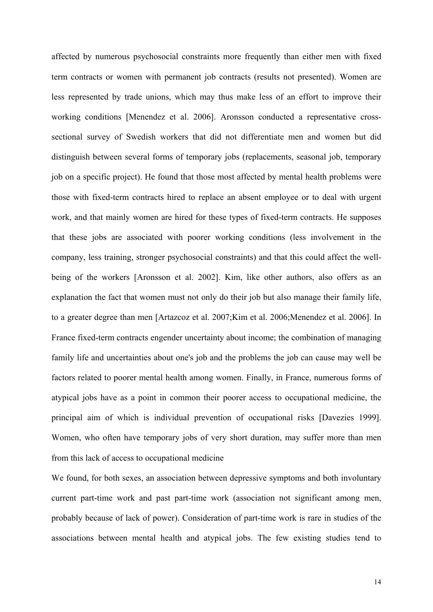affected by numerous psychosocial constraints more frequently than either men with fixed term contracts or women with permanent job contracts (results not presented). Women are less represented by trade unions, which may thus make less of an effort to improve their working conditions [Menendez et al. 2006]. Aronsson conducted a representative crosssectional survey of Swedish workers that did not differentiate men and women but did distinguish between several forms of temporary jobs (replacements, seasonal job, temporary job on a specific project). He found that those most affected by mental health problems were those with fixed-term contracts hired to replace an absent employee or to deal with urgent work, and that mainly women are hired for these types of fixed-term contracts. He supposes that these jobs are associated with poorer working conditions (less involvement in the company, less training, stronger psychosocial constraints) and that this could affect the wellbeing of the workers [Aronsson et al. 2002]. Kim, like other authors, also offers as an explanation the fact that women must not only do their job but also manage their family life, to a greater degree than men [Artazcoz et al. 2007;Kim et al. 2006;Menendez et al. 2006]. In France fixed-term contracts engender uncertainty about income; the combination of managing family life and uncertainties about one's job and the problems the job can cause may well be factors related to poorer mental health among women. Finally, in France, numerous forms of atypical jobs have as a point in common their poorer access to occupational medicine, the principal aim of which is individual prevention of occupational risks [Davezies 1999]. Women, who often have temporary jobs of very short duration, may suffer more than men from this lack of access to occupational medicine

We found, for both sexes, an association between depressive symptoms and both involuntary current part-time work and past part-time work (association not significant among men, probably because of lack of power). Consideration of part-time work is rare in studies of the associations between mental health and atypical jobs. The few existing studies tend to

14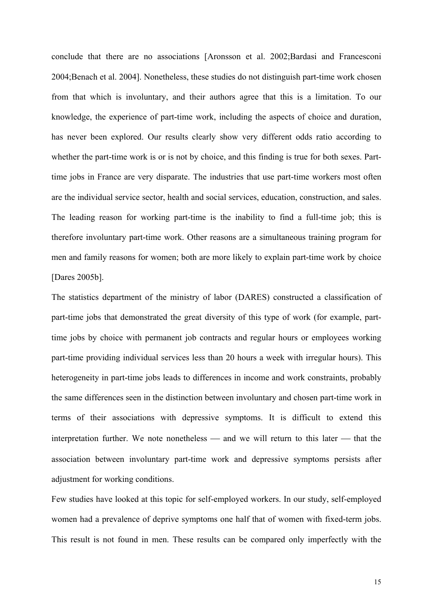conclude that there are no associations [Aronsson et al. 2002;Bardasi and Francesconi 2004;Benach et al. 2004]. Nonetheless, these studies do not distinguish part-time work chosen from that which is involuntary, and their authors agree that this is a limitation. To our knowledge, the experience of part-time work, including the aspects of choice and duration, has never been explored. Our results clearly show very different odds ratio according to whether the part-time work is or is not by choice, and this finding is true for both sexes. Parttime jobs in France are very disparate. The industries that use part-time workers most often are the individual service sector, health and social services, education, construction, and sales. The leading reason for working part-time is the inability to find a full-time job; this is therefore involuntary part-time work. Other reasons are a simultaneous training program for men and family reasons for women; both are more likely to explain part-time work by choice [Dares 2005b].

The statistics department of the ministry of labor (DARES) constructed a classification of part-time jobs that demonstrated the great diversity of this type of work (for example, parttime jobs by choice with permanent job contracts and regular hours or employees working part-time providing individual services less than 20 hours a week with irregular hours). This heterogeneity in part-time jobs leads to differences in income and work constraints, probably the same differences seen in the distinction between involuntary and chosen part-time work in terms of their associations with depressive symptoms. It is difficult to extend this interpretation further. We note nonetheless  $-$  and we will return to this later  $-$  that the association between involuntary part-time work and depressive symptoms persists after adjustment for working conditions.

Few studies have looked at this topic for self-employed workers. In our study, self-employed women had a prevalence of deprive symptoms one half that of women with fixed-term jobs. This result is not found in men. These results can be compared only imperfectly with the

15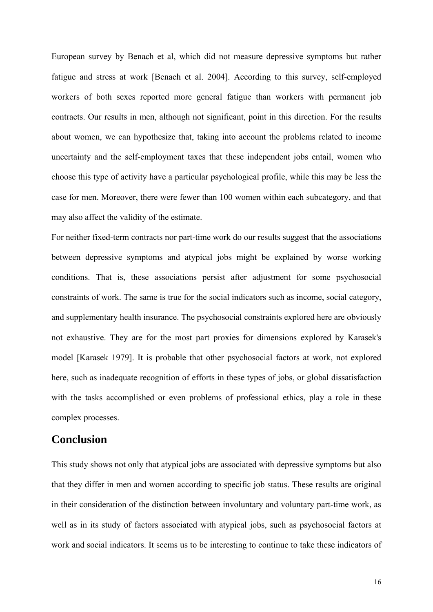European survey by Benach et al, which did not measure depressive symptoms but rather fatigue and stress at work [Benach et al. 2004]. According to this survey, self-employed workers of both sexes reported more general fatigue than workers with permanent job contracts. Our results in men, although not significant, point in this direction. For the results about women, we can hypothesize that, taking into account the problems related to income uncertainty and the self-employment taxes that these independent jobs entail, women who choose this type of activity have a particular psychological profile, while this may be less the case for men. Moreover, there were fewer than 100 women within each subcategory, and that may also affect the validity of the estimate.

For neither fixed-term contracts nor part-time work do our results suggest that the associations between depressive symptoms and atypical jobs might be explained by worse working conditions. That is, these associations persist after adjustment for some psychosocial constraints of work. The same is true for the social indicators such as income, social category, and supplementary health insurance. The psychosocial constraints explored here are obviously not exhaustive. They are for the most part proxies for dimensions explored by Karasek's model [Karasek 1979]. It is probable that other psychosocial factors at work, not explored here, such as inadequate recognition of efforts in these types of jobs, or global dissatisfaction with the tasks accomplished or even problems of professional ethics, play a role in these complex processes.

## **Conclusion**

This study shows not only that atypical jobs are associated with depressive symptoms but also that they differ in men and women according to specific job status. These results are original in their consideration of the distinction between involuntary and voluntary part-time work, as well as in its study of factors associated with atypical jobs, such as psychosocial factors at work and social indicators. It seems us to be interesting to continue to take these indicators of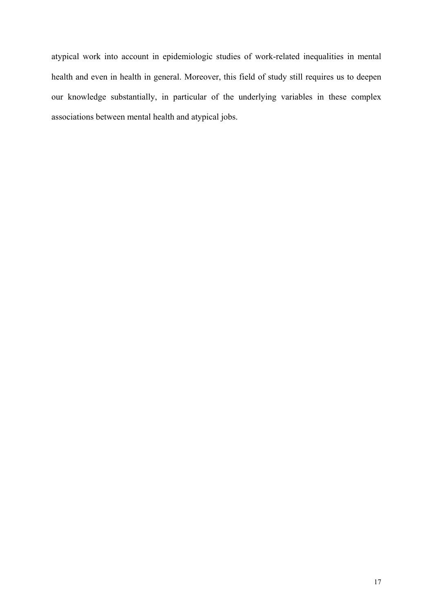atypical work into account in epidemiologic studies of work-related inequalities in mental health and even in health in general. Moreover, this field of study still requires us to deepen our knowledge substantially, in particular of the underlying variables in these complex associations between mental health and atypical jobs.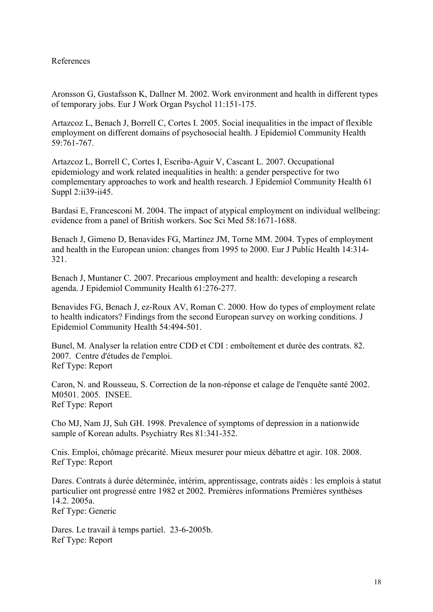#### References

Aronsson G, Gustafsson K, Dallner M. 2002. Work environment and health in different types of temporary jobs. Eur J Work Organ Psychol 11:151-175.

Artazcoz L, Benach J, Borrell C, Cortes I. 2005. Social inequalities in the impact of flexible employment on different domains of psychosocial health. J Epidemiol Community Health 59:761-767.

Artazcoz L, Borrell C, Cortes I, Escriba-Aguir V, Cascant L. 2007. Occupational epidemiology and work related inequalities in health: a gender perspective for two complementary approaches to work and health research. J Epidemiol Community Health 61 Suppl 2:ii39-ii45.

Bardasi E, Francesconi M. 2004. The impact of atypical employment on individual wellbeing: evidence from a panel of British workers. Soc Sci Med 58:1671-1688.

Benach J, Gimeno D, Benavides FG, Martinez JM, Torne MM. 2004. Types of employment and health in the European union: changes from 1995 to 2000. Eur J Public Health 14:314- 321.

Benach J, Muntaner C. 2007. Precarious employment and health: developing a research agenda. J Epidemiol Community Health 61:276-277.

Benavides FG, Benach J, ez-Roux AV, Roman C. 2000. How do types of employment relate to health indicators? Findings from the second European survey on working conditions. J Epidemiol Community Health 54:494-501.

Bunel, M. Analyser la relation entre CDD et CDI : emboîtement et durée des contrats. 82. 2007. Centre d'études de l'emploi. Ref Type: Report

Caron, N. and Rousseau, S. Correction de la non-réponse et calage de l'enquête santé 2002. M0501. 2005. INSEE. Ref Type: Report

Cho MJ, Nam JJ, Suh GH. 1998. Prevalence of symptoms of depression in a nationwide sample of Korean adults. Psychiatry Res 81:341-352.

Cnis. Emploi, chômage précarité. Mieux mesurer pour mieux débattre et agir. 108. 2008. Ref Type: Report

Dares. Contrats à durée déterminée, intérim, apprentissage, contrats aidés : les emplois à statut particulier ont progressé entre 1982 et 2002. Premières informations Premières synthèses 14.2. 2005a. Ref Type: Generic

Dares. Le travail à temps partiel. 23-6-2005b. Ref Type: Report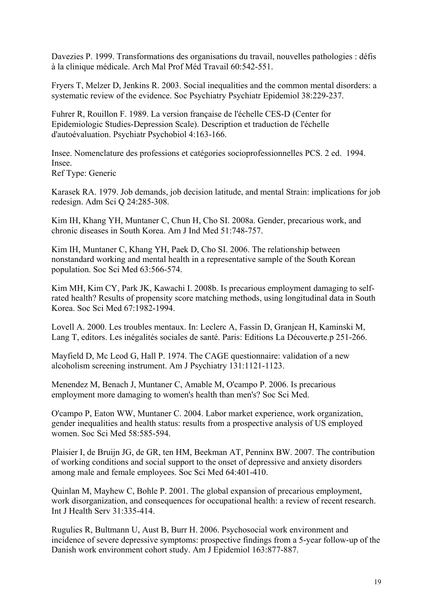Davezies P. 1999. Transformations des organisations du travail, nouvelles pathologies : défis à la clinique médicale. Arch Mal Prof Méd Travail 60:542-551.

Fryers T, Melzer D, Jenkins R. 2003. Social inequalities and the common mental disorders: a systematic review of the evidence. Soc Psychiatry Psychiatr Epidemiol 38:229-237.

Fuhrer R, Rouillon F. 1989. La version française de l'échelle CES-D (Center for Epidemiologic Studies-Depression Scale). Description et traduction de l'échelle d'autoévaluation. Psychiatr Psychobiol 4:163-166.

Insee. Nomenclature des professions et catégories socioprofessionnelles PCS. 2 ed. 1994. Insee. Ref Type: Generic

Karasek RA. 1979. Job demands, job decision latitude, and mental Strain: implications for job redesign. Adm Sci Q 24:285-308.

Kim IH, Khang YH, Muntaner C, Chun H, Cho SI. 2008a. Gender, precarious work, and chronic diseases in South Korea. Am J Ind Med 51:748-757.

Kim IH, Muntaner C, Khang YH, Paek D, Cho SI. 2006. The relationship between nonstandard working and mental health in a representative sample of the South Korean population. Soc Sci Med 63:566-574.

Kim MH, Kim CY, Park JK, Kawachi I. 2008b. Is precarious employment damaging to selfrated health? Results of propensity score matching methods, using longitudinal data in South Korea. Soc Sci Med 67:1982-1994.

Lovell A. 2000. Les troubles mentaux. In: Leclerc A, Fassin D, Granjean H, Kaminski M, Lang T, editors. Les inégalités sociales de santé. Paris: Editions La Découverte.p 251-266.

Mayfield D, Mc Leod G, Hall P. 1974. The CAGE questionnaire: validation of a new alcoholism screening instrument. Am J Psychiatry 131:1121-1123.

Menendez M, Benach J, Muntaner C, Amable M, O'campo P. 2006. Is precarious employment more damaging to women's health than men's? Soc Sci Med.

O'campo P, Eaton WW, Muntaner C. 2004. Labor market experience, work organization, gender inequalities and health status: results from a prospective analysis of US employed women. Soc Sci Med 58:585-594.

Plaisier I, de Bruijn JG, de GR, ten HM, Beekman AT, Penninx BW. 2007. The contribution of working conditions and social support to the onset of depressive and anxiety disorders among male and female employees. Soc Sci Med 64:401-410.

Quinlan M, Mayhew C, Bohle P. 2001. The global expansion of precarious employment, work disorganization, and consequences for occupational health: a review of recent research. Int J Health Serv 31:335-414.

Rugulies R, Bultmann U, Aust B, Burr H. 2006. Psychosocial work environment and incidence of severe depressive symptoms: prospective findings from a 5-year follow-up of the Danish work environment cohort study. Am J Epidemiol 163:877-887.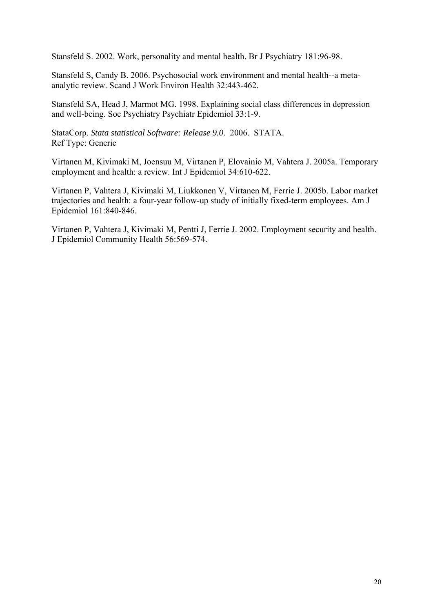Stansfeld S. 2002. Work, personality and mental health. Br J Psychiatry 181:96-98.

Stansfeld S, Candy B. 2006. Psychosocial work environment and mental health--a metaanalytic review. Scand J Work Environ Health 32:443-462.

Stansfeld SA, Head J, Marmot MG. 1998. Explaining social class differences in depression and well-being. Soc Psychiatry Psychiatr Epidemiol 33:1-9.

StataCorp. *Stata statistical Software: Release 9.0*. 2006. STATA. Ref Type: Generic

Virtanen M, Kivimaki M, Joensuu M, Virtanen P, Elovainio M, Vahtera J. 2005a. Temporary employment and health: a review. Int J Epidemiol 34:610-622.

Virtanen P, Vahtera J, Kivimaki M, Liukkonen V, Virtanen M, Ferrie J. 2005b. Labor market trajectories and health: a four-year follow-up study of initially fixed-term employees. Am J Epidemiol 161:840-846.

Virtanen P, Vahtera J, Kivimaki M, Pentti J, Ferrie J. 2002. Employment security and health. J Epidemiol Community Health 56:569-574.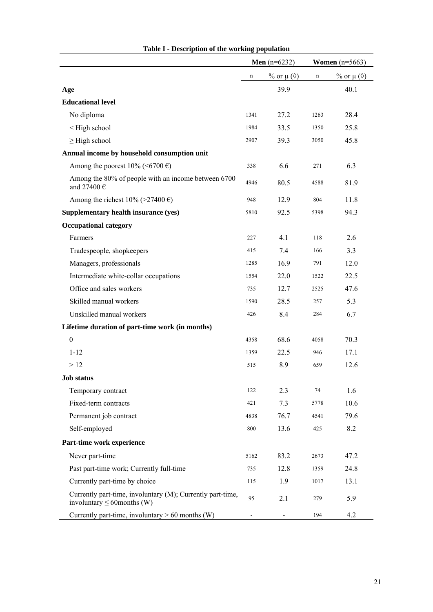|                                                                                                | <b>Men</b> ( $n=6232$ ) |                           | <b>Women</b> $(n=5663)$ |                           |
|------------------------------------------------------------------------------------------------|-------------------------|---------------------------|-------------------------|---------------------------|
|                                                                                                | n                       | % or $\mu$ ( $\Diamond$ ) | n                       | % or $\mu$ ( $\Diamond$ ) |
| Age                                                                                            |                         | 39.9                      |                         | 40.1                      |
| <b>Educational level</b>                                                                       |                         |                           |                         |                           |
| No diploma                                                                                     | 1341                    | 27.2                      | 1263                    | 28.4                      |
| <high school<="" td=""><td>1984</td><td>33.5</td><td>1350</td><td>25.8</td></high>             | 1984                    | 33.5                      | 1350                    | 25.8                      |
| $\geq$ High school                                                                             | 2907                    | 39.3                      | 3050                    | 45.8                      |
| Annual income by household consumption unit                                                    |                         |                           |                         |                           |
| Among the poorest 10% (<6700 €)                                                                | 338                     | 6.6                       | 271                     | 6.3                       |
| Among the 80% of people with an income between 6700<br>and 27400 $\in$                         | 4946                    | 80.5                      | 4588                    | 81.9                      |
| Among the richest 10% (>27400 €)                                                               | 948                     | 12.9                      | 804                     | 11.8                      |
| Supplementary health insurance (yes)                                                           | 5810                    | 92.5                      | 5398                    | 94.3                      |
| <b>Occupational category</b>                                                                   |                         |                           |                         |                           |
| Farmers                                                                                        | 227                     | 4.1                       | 118                     | 2.6                       |
| Tradespeople, shopkeepers                                                                      | 415                     | 7.4                       | 166                     | 3.3                       |
| Managers, professionals                                                                        | 1285                    | 16.9                      | 791                     | 12.0                      |
| Intermediate white-collar occupations                                                          | 1554                    | 22.0                      | 1522                    | 22.5                      |
| Office and sales workers                                                                       | 735                     | 12.7                      | 2525                    | 47.6                      |
| Skilled manual workers                                                                         | 1590                    | 28.5                      | 257                     | 5.3                       |
| Unskilled manual workers                                                                       | 426                     | 8.4                       | 284                     | 6.7                       |
| Lifetime duration of part-time work (in months)                                                |                         |                           |                         |                           |
| $\boldsymbol{0}$                                                                               | 4358                    | 68.6                      | 4058                    | 70.3                      |
| $1 - 12$                                                                                       | 1359                    | 22.5                      | 946                     | 17.1                      |
| >12                                                                                            | 515                     | 8.9                       | 659                     | 12.6                      |
| <b>Job status</b>                                                                              |                         |                           |                         |                           |
| Temporary contract                                                                             | 122                     | 2.3                       | 74                      | 1.6                       |
| Fixed-term contracts                                                                           | 421                     | 7.3                       | 5778                    | 10.6                      |
| Permanent job contract                                                                         | 4838                    | 76.7                      | 4541                    | 79.6                      |
| Self-employed                                                                                  | 800                     | 13.6                      | 425                     | 8.2                       |
| Part-time work experience                                                                      |                         |                           |                         |                           |
| Never part-time                                                                                | 5162                    | 83.2                      | 2673                    | 47.2                      |
| Past part-time work; Currently full-time                                                       | 735                     | 12.8                      | 1359                    | 24.8                      |
| Currently part-time by choice                                                                  | 115                     | 1.9                       | 1017                    | 13.1                      |
| Currently part-time, involuntary (M); Currently part-time,<br>involuntary $\leq 60$ months (W) | 95                      | 2.1                       | 279                     | 5.9                       |
| Currently part-time, involuntary $> 60$ months (W)                                             |                         |                           | 194                     | 4.2                       |

| Table I - Description of the working population |  |  |
|-------------------------------------------------|--|--|
|-------------------------------------------------|--|--|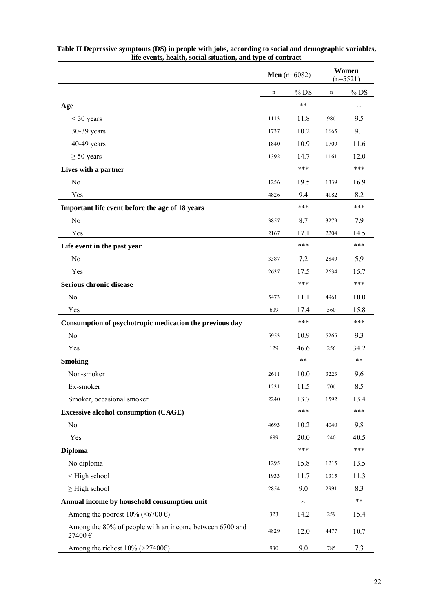|                                                                                    |             | <b>Men</b> ( $n=6082$ ) |             | Women<br>$(n=5521)$ |
|------------------------------------------------------------------------------------|-------------|-------------------------|-------------|---------------------|
|                                                                                    | $\mathbf n$ | $%$ DS                  | $\mathbf n$ | $%$ DS              |
| Age                                                                                |             | $***$                   |             | $\thicksim$         |
| $<$ 30 years                                                                       | 1113        | 11.8                    | 986         | 9.5                 |
| 30-39 years                                                                        | 1737        | 10.2                    | 1665        | 9.1                 |
| 40-49 years                                                                        | 1840        | 10.9                    | 1709        | 11.6                |
| $\geq 50$ years                                                                    | 1392        | 14.7                    | 1161        | 12.0                |
| Lives with a partner                                                               |             | ***                     |             | ***                 |
| N <sub>o</sub>                                                                     | 1256        | 19.5                    | 1339        | 16.9                |
| Yes                                                                                | 4826        | 9.4                     | 4182        | 8.2                 |
| Important life event before the age of 18 years                                    |             | ***                     |             | ***                 |
| N <sub>o</sub>                                                                     | 3857        | 8.7                     | 3279        | 7.9                 |
| Yes                                                                                | 2167        | 17.1                    | 2204        | 14.5                |
| Life event in the past year                                                        |             | ***                     |             | ***                 |
| N <sub>o</sub>                                                                     | 3387        | 7.2                     | 2849        | 5.9                 |
| Yes                                                                                | 2637        | 17.5                    | 2634        | 15.7                |
| Serious chronic disease                                                            |             | ***                     |             | ***                 |
| No                                                                                 | 5473        | 11.1                    | 4961        | 10.0                |
| Yes                                                                                | 609         | 17.4                    | 560         | 15.8                |
| Consumption of psychotropic medication the previous day                            |             | ***                     |             | ***                 |
| N <sub>o</sub>                                                                     | 5953        | 10.9                    | 5265        | 9.3                 |
| Yes                                                                                | 129         | 46.6                    | 256         | 34.2                |
| <b>Smoking</b>                                                                     |             | $***$                   |             | $***$               |
| Non-smoker                                                                         | 2611        | 10.0                    | 3223        | 9.6                 |
| Ex-smoker                                                                          | 1231        | 11.5                    | 706         | 8.5                 |
| Smoker, occasional smoker                                                          | 2240        | 13.7                    | 1592        | 13.4                |
| <b>Excessive alcohol consumption (CAGE)</b>                                        |             | ***                     |             | ***                 |
| N <sub>o</sub>                                                                     | 4693        | 10.2                    | 4040        | 9.8                 |
| Yes                                                                                | 689         | 20.0                    | 240         | 40.5                |
| <b>Diploma</b>                                                                     |             | $***$                   |             | ***                 |
| No diploma                                                                         | 1295        | 15.8                    | 1215        | 13.5                |
| <high school<="" td=""><td>1933</td><td>11.7</td><td>1315</td><td>11.3</td></high> | 1933        | 11.7                    | 1315        | 11.3                |
| $\geq$ High school                                                                 | 2854        | 9.0                     | 2991        | 8.3                 |
| Annual income by household consumption unit                                        |             | $\thicksim$             |             | $***$               |
| Among the poorest 10% (<6700 €)                                                    | 323         | 14.2                    | 259         | 15.4                |
| Among the 80% of people with an income between 6700 and<br>27400€                  | 4829        | 12.0                    | 4477        | 10.7                |
| Among the richest $10\%$ (>27400€)                                                 | 930         | 9.0                     | 785         | 7.3                 |

| Table II Depressive symptoms (DS) in people with jobs, according to social and demographic variables, |
|-------------------------------------------------------------------------------------------------------|
| life events, health, social situation, and type of contract                                           |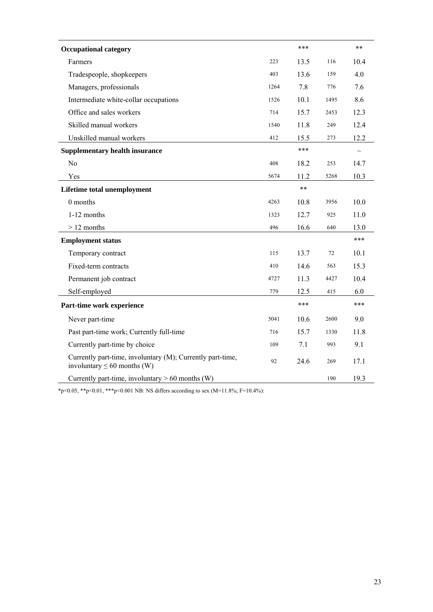| <b>Occupational category</b>                                                                   |      | ***   |      | $***$  |
|------------------------------------------------------------------------------------------------|------|-------|------|--------|
| Farmers                                                                                        | 223  | 13.5  | 116  | 10.4   |
| Tradespeople, shopkeepers                                                                      | 403  | 13.6  | 159  | 4.0    |
| Managers, professionals                                                                        | 1264 | 7.8   | 776  | 7.6    |
| Intermediate white-collar occupations                                                          | 1526 | 10.1  | 1495 | 8.6    |
| Office and sales workers                                                                       | 714  | 15.7  | 2453 | 12.3   |
| Skilled manual workers                                                                         | 1540 | 11.8  | 249  | 12.4   |
| Unskilled manual workers                                                                       | 412  | 15.5  | 273  | 12.2   |
| <b>Supplementary health insurance</b>                                                          |      | ***   |      | $\sim$ |
| N <sub>o</sub>                                                                                 | 408  | 18.2  | 253  | 14.7   |
| Yes                                                                                            | 5674 | 11.2  | 5268 | 10.3   |
| Lifetime total unemployment                                                                    |      | $***$ |      |        |
| 0 months                                                                                       | 4263 | 10.8  | 3956 | 10.0   |
| 1-12 months                                                                                    | 1323 | 12.7  | 925  | 11.0   |
| $>12$ months                                                                                   | 496  | 16.6  | 640  | 13.0   |
| <b>Employment status</b>                                                                       |      |       |      | ***    |
| Temporary contract                                                                             | 115  | 13.7  | 72   | 10.1   |
| Fixed-term contracts                                                                           | 410  | 14.6  | 563  | 15.3   |
| Permanent job contract                                                                         | 4727 | 11.3  | 4427 | 10.4   |
| Self-employed                                                                                  | 779  | 12.5  | 415  | 6.0    |
| Part-time work experience                                                                      |      | ***   |      | ***    |
| Never part-time                                                                                | 5041 | 10.6  | 2600 | 9.0    |
| Past part-time work; Currently full-time                                                       | 716  | 15.7  | 1330 | 11.8   |
| Currently part-time by choice                                                                  | 109  | 7.1   | 993  | 9.1    |
| Currently part-time, involuntary (M); Currently part-time,<br>involuntary $\leq 60$ months (W) | 92   | 24.6  | 269  | 17.1   |
| Currently part-time, involuntary $> 60$ months (W)                                             |      |       | 190  | 19.3   |

\*p<0.05, \*\*p<0.01, \*\*\*p<0.001 NB: NS differs according to sex (M=11.8%; F=10.4%):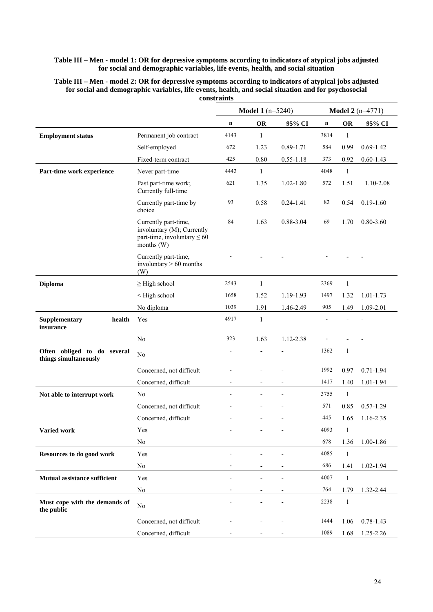#### **Table III – Men - model 1: OR for depressive symptoms according to indicators of atypical jobs adjusted for social and demographic variables, life events, health, and social situation**

| Table III – Men - model 2: OR for depressive symptoms according to indicators of atypical jobs adjusted |
|---------------------------------------------------------------------------------------------------------|
| for social and demographic variables, life events, health, and social situation and for psychosocial    |
| <b>constraints</b>                                                                                      |

|                                                      |                                                                                                      |                          | <b>Model 1</b> (n=5240) |               |             |              | <b>Model 2</b> ( $n=4771$ ) |
|------------------------------------------------------|------------------------------------------------------------------------------------------------------|--------------------------|-------------------------|---------------|-------------|--------------|-----------------------------|
|                                                      |                                                                                                      | $\mathbf n$              | OR                      | 95% CI        | $\mathbf n$ | <b>OR</b>    | 95% CI                      |
| <b>Employment status</b>                             | Permanent job contract                                                                               | 4143                     | 1                       |               | 3814        | $\mathbf{1}$ |                             |
|                                                      | Self-employed                                                                                        | 672                      | 1.23                    | 0.89-1.71     | 584         | 0.99         | $0.69 - 1.42$               |
|                                                      | Fixed-term contract                                                                                  | 425                      | 0.80                    | $0.55 - 1.18$ | 373         | 0.92         | $0.60 - 1.43$               |
| Part-time work experience                            | Never part-time                                                                                      | 4442                     | $\mathbf{1}$            |               | 4048        | $\mathbf{1}$ |                             |
|                                                      | Past part-time work;<br>Currently full-time                                                          | 621                      | 1.35                    | $1.02 - 1.80$ | 572         | 1.51         | 1.10-2.08                   |
|                                                      | Currently part-time by<br>choice                                                                     | 93                       | 0.58                    | $0.24 - 1.41$ | 82          | 0.54         | $0.19 - 1.60$               |
|                                                      | Currently part-time,<br>involuntary (M); Currently<br>part-time, involuntary $\leq 60$<br>months (W) | 84                       | 1.63                    | 0.88-3.04     | 69          | 1.70         | $0.80 - 3.60$               |
|                                                      | Currently part-time,<br>involuntary $> 60$ months<br>(W)                                             |                          |                         |               |             |              |                             |
| <b>Diploma</b>                                       | $\geq$ High school                                                                                   | 2543                     | $\mathbf{1}$            |               | 2369        | $\mathbf{1}$ |                             |
|                                                      | < High school                                                                                        | 1658                     | 1.52                    | 1.19-1.93     | 1497        | 1.32         | $1.01 - 1.73$               |
|                                                      | No diploma                                                                                           | 1039                     | 1.91                    | 1.46-2.49     | 905         | 1.49         | 1.09-2.01                   |
| Supplementary<br>health<br>insurance                 | Yes                                                                                                  | 4917                     | 1                       |               |             |              |                             |
|                                                      | N <sub>0</sub>                                                                                       | 323                      | 1.63                    | 1.12-2.38     |             |              |                             |
| Often obliged to do several<br>things simultaneously | $\rm No$                                                                                             | $\overline{\phantom{a}}$ |                         |               | 1362        | $\mathbf{1}$ |                             |
|                                                      | Concerned, not difficult                                                                             |                          |                         |               | 1992        | 0.97         | $0.71 - 1.94$               |
|                                                      | Concerned, difficult                                                                                 |                          |                         |               | 1417        | 1.40         | 1.01-1.94                   |
| Not able to interrupt work                           | No                                                                                                   |                          |                         |               | 3755        | $\mathbf{1}$ |                             |
|                                                      | Concerned, not difficult                                                                             |                          |                         |               | 571         | 0.85         | $0.57 - 1.29$               |
|                                                      | Concerned, difficult                                                                                 |                          |                         |               | 445         | 1.65         | 1.16-2.35                   |
| Varied work                                          | Yes                                                                                                  |                          |                         |               | 4093        | $\mathbf{1}$ |                             |
|                                                      | N <sub>0</sub>                                                                                       |                          |                         |               | 678         | 1.36         | 1.00-1.86                   |
| Resources to do good work                            | Yes                                                                                                  |                          |                         |               | 4085        | $\mathbf{1}$ |                             |
|                                                      | No                                                                                                   |                          |                         |               | 686         | 1.41         | 1.02-1.94                   |
| <b>Mutual assistance sufficient</b>                  | Yes                                                                                                  |                          |                         |               | 4007        | $\mathbf{1}$ |                             |
|                                                      | $\rm No$                                                                                             |                          |                         |               | 764         | 1.79         | 1.32-2.44                   |
| Must cope with the demands of<br>the public          | $\rm No$                                                                                             |                          |                         |               | 2238        | $\mathbf{1}$ |                             |
|                                                      | Concerned, not difficult                                                                             |                          |                         |               | 1444        | 1.06         | $0.78 - 1.43$               |
|                                                      | Concerned, difficult                                                                                 |                          |                         |               | 1089        | 1.68         | 1.25-2.26                   |